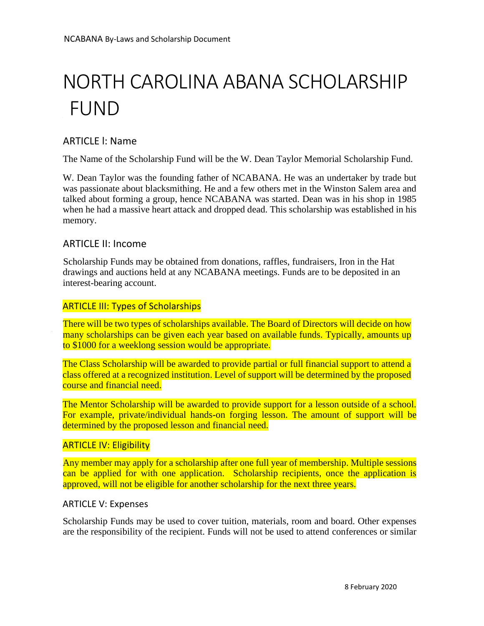# NORTH CAROLINA ABANA SCHOLARSHIP FUND

# ARTICLE l: Name

The Name of the Scholarship Fund will be the W. Dean Taylor Memorial Scholarship Fund.

W. Dean Taylor was the founding father of NCABANA. He was an undertaker by trade but was passionate about blacksmithing. He and a few others met in the Winston Salem area and talked about forming a group, hence NCABANA was started. Dean was in his shop in 1985 when he had a massive heart attack and dropped dead. This scholarship was established in his memory.

## ARTICLE II: Income

Scholarship Funds may be obtained from donations, raffles, fundraisers, Iron in the Hat drawings and auctions held at any NCABANA meetings. Funds are to be deposited in an interest-bearing account.

## ARTICLE III: Types of Scholarships

There will be two types of scholarships available. The Board of Directors will decide on how many scholarships can be given each year based on available funds. Typically, amounts up to \$1000 for a weeklong session would be appropriate.

The Class Scholarship will be awarded to provide partial or full financial support to attend a class offered at a recognized institution. Level of support will be determined by the proposed course and financial need.

The Mentor Scholarship will be awarded to provide support for a lesson outside of a school. For example, private/individual hands-on forging lesson. The amount of support will be determined by the proposed lesson and financial need.

## **ARTICLE IV: Eligibility**

Any member may apply for a scholarship after one full year of membership. Multiple sessions can be applied for with one application. Scholarship recipients, once the application is approved, will not be eligible for another scholarship for the next three years.

## ARTICLE V: Expenses

Scholarship Funds may be used to cover tuition, materials, room and board. Other expenses are the responsibility of the recipient. Funds will not be used to attend conferences or similar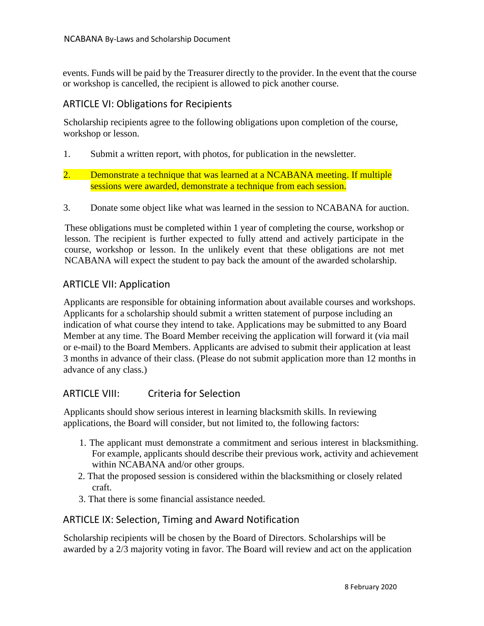events. Funds will be paid by the Treasurer directly to the provider. In the event that the course or workshop is cancelled, the recipient is allowed to pick another course.

# ARTICLE VI: Obligations for Recipients

Scholarship recipients agree to the following obligations upon completion of the course, workshop or lesson.

- 1. Submit a written report, with photos, for publication in the newsletter.
- 2. Demonstrate a technique that was learned at a NCABANA meeting. If multiple sessions were awarded, demonstrate a technique from each session.
- 3. Donate some object like what was learned in the session to NCABANA for auction.

These obligations must be completed within 1 year of completing the course, workshop or lesson. The recipient is further expected to fully attend and actively participate in the course, workshop or lesson. In the unlikely event that these obligations are not met NCABANA will expect the student to pay back the amount of the awarded scholarship.

# ARTICLE VII: Application

Applicants are responsible for obtaining information about available courses and workshops. Applicants for a scholarship should submit a written statement of purpose including an indication of what course they intend to take. Applications may be submitted to any Board Member at any time. The Board Member receiving the application will forward it (via mail or e-mail) to the Board Members. Applicants are advised to submit their application at least 3 months in advance of their class. (Please do not submit application more than 12 months in advance of any class.)

# ARTICLE VIII: Criteria for Selection

Applicants should show serious interest in learning blacksmith skills. In reviewing applications, the Board will consider, but not limited to, the following factors:

- 1. The applicant must demonstrate a commitment and serious interest in blacksmithing. For example, applicants should describe their previous work, activity and achievement within NCABANA and/or other groups.
- 2. That the proposed session is considered within the blacksmithing or closely related craft.
- 3. That there is some financial assistance needed.

# ARTICLE IX: Selection, Timing and Award Notification

Scholarship recipients will be chosen by the Board of Directors. Scholarships will be awarded by a 2/3 majority voting in favor. The Board will review and act on the application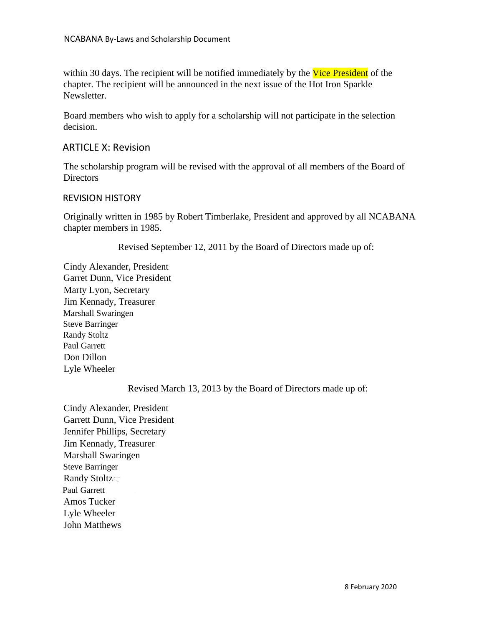within 30 days. The recipient will be notified immediately by the Vice President of the chapter. The recipient will be announced in the next issue of the Hot Iron Sparkle Newsletter.

Board members who wish to apply for a scholarship will not participate in the selection decision.

## ARTICLE X: Revision

The scholarship program will be revised with the approval of all members of the Board of **Directors** 

## REVISION HISTORY

Originally written in 1985 by Robert Timberlake, President and approved by all NCABANA chapter members in 1985.

Revised September 12, 2011 by the Board of Directors made up of:

Cindy Alexander, President Garret Dunn, Vice President Marty Lyon, Secretary Jim Kennady, Treasurer Marshall Swaringen Steve Barringer Randy Stoltz Paul Garrett Don Dillon Lyle Wheeler

Revised March 13, 2013 by the Board of Directors made up of:

Cindy Alexander, President Garrett Dunn, Vice President Jennifer Phillips, Secretary Jim Kennady, Treasurer Marshall Swaringen Steve Barringer Randy Stoltz Paul Garrett Amos Tucker Lyle Wheeler John Matthews